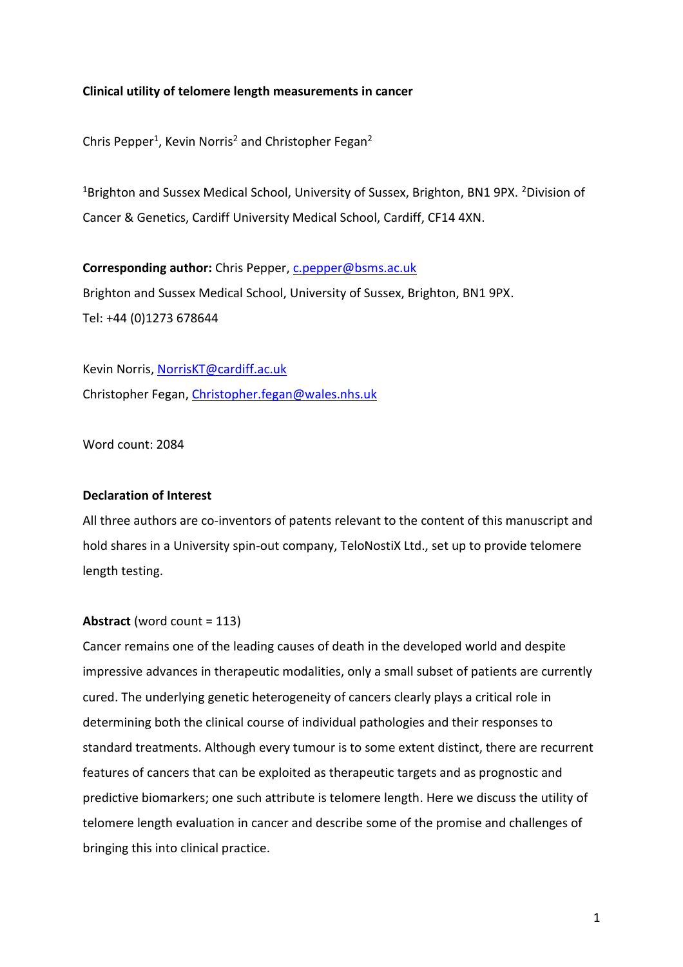## **Clinical utility of telomere length measurements in cancer**

Chris Pepper<sup>1</sup>, Kevin Norris<sup>2</sup> and Christopher Fegan<sup>2</sup>

<sup>1</sup>Brighton and Sussex Medical School, University of Sussex, Brighton, BN1 9PX. <sup>2</sup>Division of Cancer & Genetics, Cardiff University Medical School, Cardiff, CF14 4XN.

Corresponding author: Chris Pepper, *c.pepper@bsms.ac.uk* Brighton and Sussex Medical School, University of Sussex, Brighton, BN1 9PX. Tel: +44 (0)1273 678644

Kevin Norris, [NorrisKT@cardiff.ac.uk](mailto:NorrisKT@cardiff.ac.uk) Christopher Fegan, [Christopher.fegan@wales.nhs.uk](mailto:Christopher.fegan@wales.nhs.uk)

Word count: 2084

## **Declaration of Interest**

All three authors are co-inventors of patents relevant to the content of this manuscript and hold shares in a University spin-out company, TeloNostiX Ltd., set up to provide telomere length testing.

### **Abstract** (word count = 113)

Cancer remains one of the leading causes of death in the developed world and despite impressive advances in therapeutic modalities, only a small subset of patients are currently cured. The underlying genetic heterogeneity of cancers clearly plays a critical role in determining both the clinical course of individual pathologies and their responses to standard treatments. Although every tumour is to some extent distinct, there are recurrent features of cancers that can be exploited as therapeutic targets and as prognostic and predictive biomarkers; one such attribute is telomere length. Here we discuss the utility of telomere length evaluation in cancer and describe some of the promise and challenges of bringing this into clinical practice.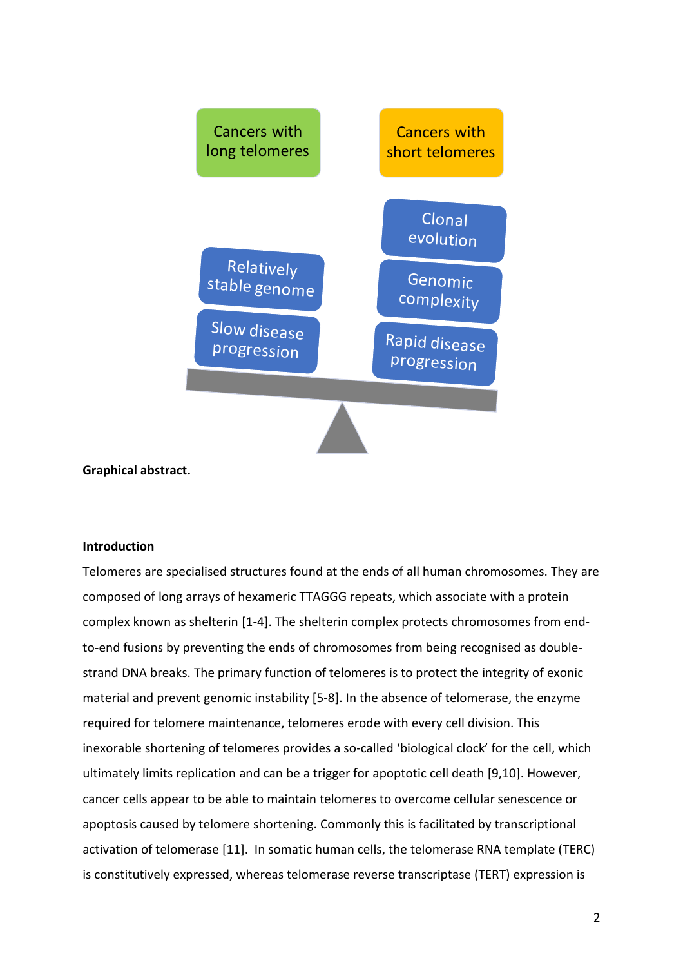

**Graphical abstract.** 

## **Introduction**

Telomeres are specialised structures found at the ends of all human chromosomes. They are composed of long arrays of hexameric TTAGGG repeats, which associate with a protein complex known as shelterin [1-4]. The shelterin complex protects chromosomes from endto-end fusions by preventing the ends of chromosomes from being recognised as doublestrand DNA breaks. The primary function of telomeres is to protect the integrity of exonic material and prevent genomic instability [5-8]. In the absence of telomerase, the enzyme required for telomere maintenance, telomeres erode with every cell division. This inexorable shortening of telomeres provides a so-called 'biological clock' for the cell, which ultimately limits replication and can be a trigger for apoptotic cell death [9,10]. However, cancer cells appear to be able to maintain telomeres to overcome cellular senescence or apoptosis caused by telomere shortening. Commonly this is facilitated by transcriptional activation of telomerase [11]. In somatic human cells, the telomerase RNA template (TERC) is constitutively expressed, whereas telomerase reverse transcriptase (TERT) expression is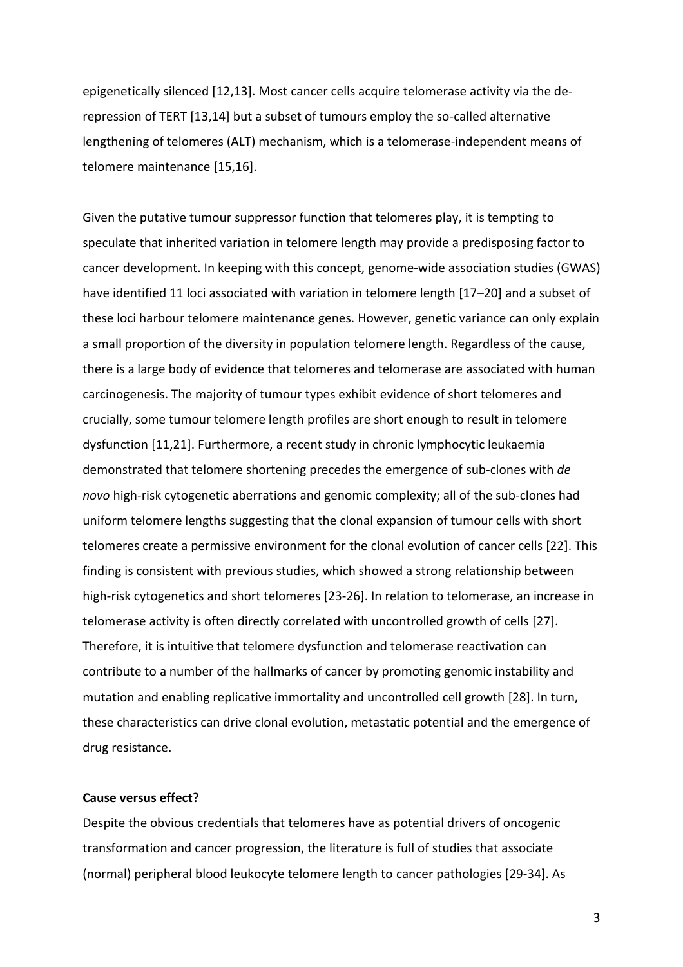epigenetically silenced [12,13]. Most cancer cells acquire telomerase activity via the derepression of TERT [13,14] but a subset of tumours employ the so-called alternative lengthening of telomeres (ALT) mechanism, which is a telomerase-independent means of telomere maintenance [15,16].

Given the putative tumour suppressor function that telomeres play, it is tempting to speculate that inherited variation in telomere length may provide a predisposing factor to cancer development. In keeping with this concept, genome-wide association studies (GWAS) have identified 11 loci associated with variation in telomere length [17-20] and a subset of these loci harbour telomere maintenance genes. However, genetic variance can only explain a small proportion of the diversity in population telomere length. Regardless of the cause, there is a large body of evidence that telomeres and telomerase are associated with human carcinogenesis. The majority of tumour types exhibit evidence of short telomeres and crucially, some tumour telomere length profiles are short enough to result in telomere dysfunction [11,21]. Furthermore, a recent study in chronic lymphocytic leukaemia demonstrated that telomere shortening precedes the emergence of sub-clones with *de novo* high-risk cytogenetic aberrations and genomic complexity; all of the sub-clones had uniform telomere lengths suggesting that the clonal expansion of tumour cells with short telomeres create a permissive environment for the clonal evolution of cancer cells [22]. This finding is consistent with previous studies, which showed a strong relationship between high-risk cytogenetics and short telomeres [23-26]. In relation to telomerase, an increase in telomerase activity is often directly correlated with uncontrolled growth of cells [27]. Therefore, it is intuitive that telomere dysfunction and telomerase reactivation can contribute to a number of the hallmarks of cancer by promoting genomic instability and mutation and enabling replicative immortality and uncontrolled cell growth [28]. In turn, these characteristics can drive clonal evolution, metastatic potential and the emergence of drug resistance.

# **Cause versus effect?**

Despite the obvious credentials that telomeres have as potential drivers of oncogenic transformation and cancer progression, the literature is full of studies that associate (normal) peripheral blood leukocyte telomere length to cancer pathologies [29-34]. As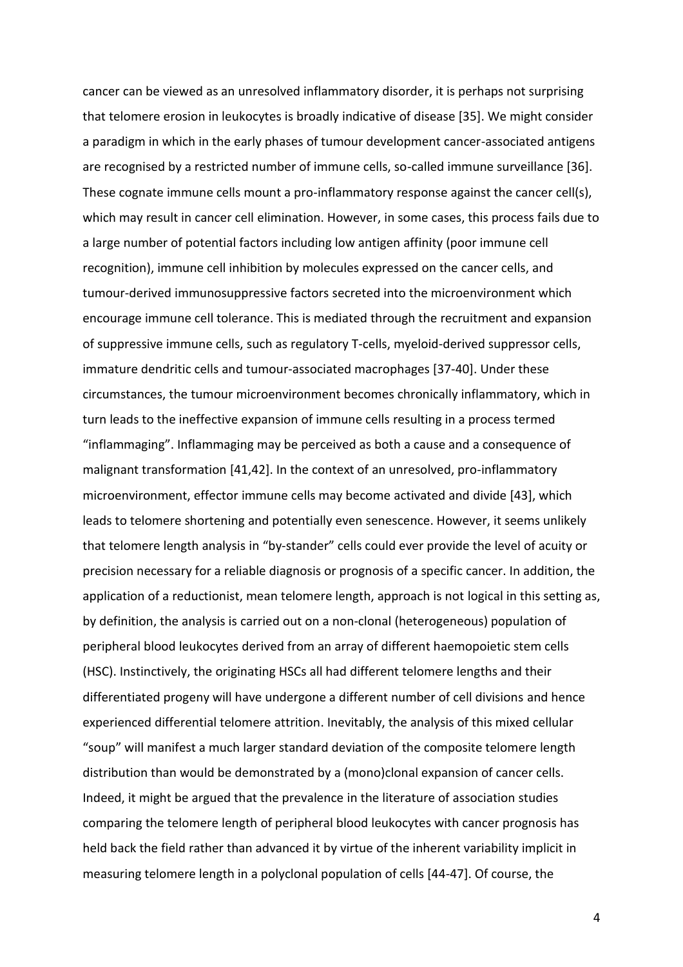cancer can be viewed as an unresolved inflammatory disorder, it is perhaps not surprising that telomere erosion in leukocytes is broadly indicative of disease [35]. We might consider a paradigm in which in the early phases of tumour development cancer-associated antigens are recognised by a restricted number of immune cells, so-called immune surveillance [36]. These cognate immune cells mount a pro-inflammatory response against the cancer cell(s), which may result in cancer cell elimination. However, in some cases, this process fails due to a large number of potential factors including low antigen affinity (poor immune cell recognition), immune cell inhibition by molecules expressed on the cancer cells, and tumour-derived immunosuppressive factors secreted into the microenvironment which encourage immune cell tolerance. This is mediated through the recruitment and expansion of suppressive immune cells, such as regulatory T-cells, myeloid-derived suppressor cells, immature dendritic cells and tumour‐associated macrophages [37-40]. Under these circumstances, the tumour microenvironment becomes chronically inflammatory, which in turn leads to the ineffective expansion of immune cells resulting in a process termed "inflammaging". Inflammaging may be perceived as both a cause and a consequence of malignant transformation [41,42]. In the context of an unresolved, pro-inflammatory microenvironment, effector immune cells may become activated and divide [43], which leads to telomere shortening and potentially even senescence. However, it seems unlikely that telomere length analysis in "by-stander" cells could ever provide the level of acuity or precision necessary for a reliable diagnosis or prognosis of a specific cancer. In addition, the application of a reductionist, mean telomere length, approach is not logical in this setting as, by definition, the analysis is carried out on a non-clonal (heterogeneous) population of peripheral blood leukocytes derived from an array of different haemopoietic stem cells (HSC). Instinctively, the originating HSCs all had different telomere lengths and their differentiated progeny will have undergone a different number of cell divisions and hence experienced differential telomere attrition. Inevitably, the analysis of this mixed cellular "soup" will manifest a much larger standard deviation of the composite telomere length distribution than would be demonstrated by a (mono)clonal expansion of cancer cells. Indeed, it might be argued that the prevalence in the literature of association studies comparing the telomere length of peripheral blood leukocytes with cancer prognosis has held back the field rather than advanced it by virtue of the inherent variability implicit in measuring telomere length in a polyclonal population of cells [44-47]. Of course, the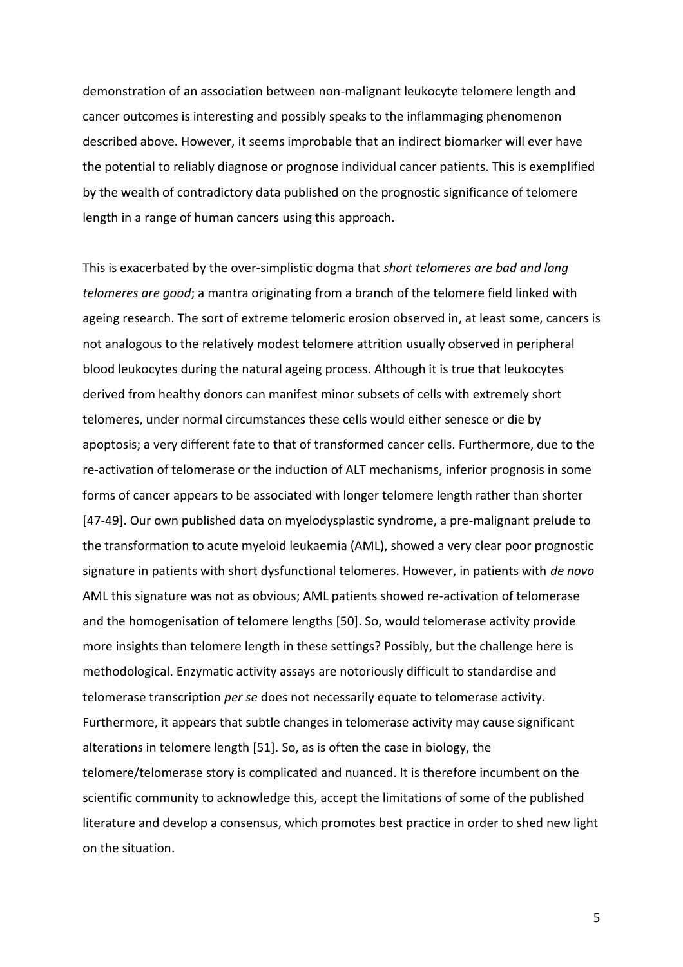demonstration of an association between non-malignant leukocyte telomere length and cancer outcomes is interesting and possibly speaks to the inflammaging phenomenon described above. However, it seems improbable that an indirect biomarker will ever have the potential to reliably diagnose or prognose individual cancer patients. This is exemplified by the wealth of contradictory data published on the prognostic significance of telomere length in a range of human cancers using this approach.

This is exacerbated by the over-simplistic dogma that *short telomeres are bad and long telomeres are good*; a mantra originating from a branch of the telomere field linked with ageing research. The sort of extreme telomeric erosion observed in, at least some, cancers is not analogous to the relatively modest telomere attrition usually observed in peripheral blood leukocytes during the natural ageing process. Although it is true that leukocytes derived from healthy donors can manifest minor subsets of cells with extremely short telomeres, under normal circumstances these cells would either senesce or die by apoptosis; a very different fate to that of transformed cancer cells. Furthermore, due to the re-activation of telomerase or the induction of ALT mechanisms, inferior prognosis in some forms of cancer appears to be associated with longer telomere length rather than shorter [47-49]. Our own published data on myelodysplastic syndrome, a pre-malignant prelude to the transformation to acute myeloid leukaemia (AML), showed a very clear poor prognostic signature in patients with short dysfunctional telomeres. However, in patients with *de novo* AML this signature was not as obvious; AML patients showed re-activation of telomerase and the homogenisation of telomere lengths [50]. So, would telomerase activity provide more insights than telomere length in these settings? Possibly, but the challenge here is methodological. Enzymatic activity assays are notoriously difficult to standardise and telomerase transcription *per se* does not necessarily equate to telomerase activity. Furthermore, it appears that subtle changes in telomerase activity may cause significant alterations in telomere length [51]. So, as is often the case in biology, the telomere/telomerase story is complicated and nuanced. It is therefore incumbent on the scientific community to acknowledge this, accept the limitations of some of the published literature and develop a consensus, which promotes best practice in order to shed new light on the situation.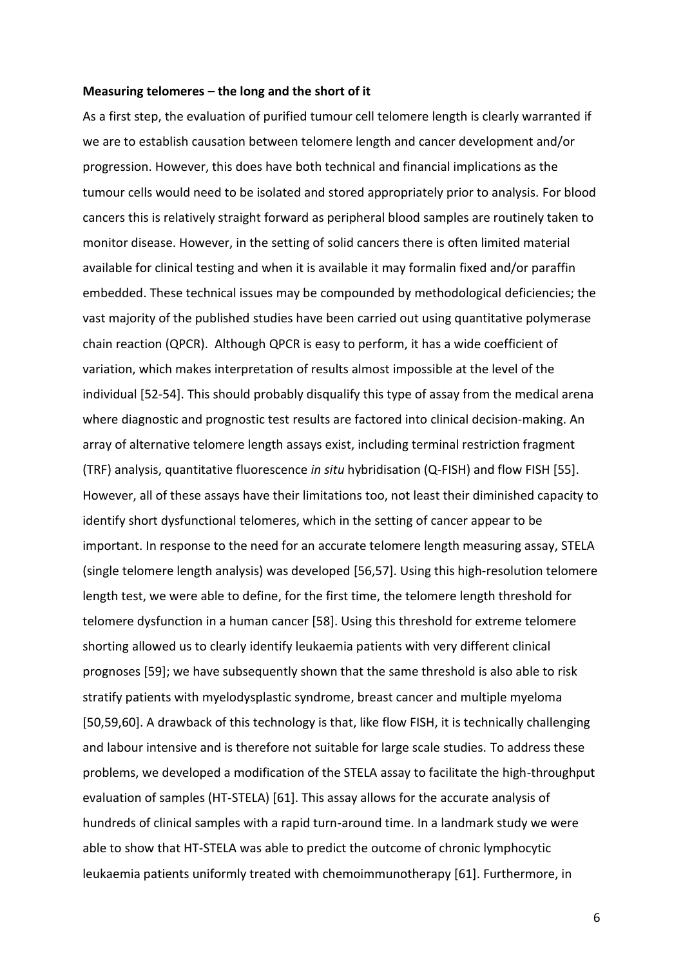#### **Measuring telomeres – the long and the short of it**

As a first step, the evaluation of purified tumour cell telomere length is clearly warranted if we are to establish causation between telomere length and cancer development and/or progression. However, this does have both technical and financial implications as the tumour cells would need to be isolated and stored appropriately prior to analysis. For blood cancers this is relatively straight forward as peripheral blood samples are routinely taken to monitor disease. However, in the setting of solid cancers there is often limited material available for clinical testing and when it is available it may formalin fixed and/or paraffin embedded. These technical issues may be compounded by methodological deficiencies; the vast majority of the published studies have been carried out using quantitative polymerase chain reaction (QPCR). Although QPCR is easy to perform, it has a wide coefficient of variation, which makes interpretation of results almost impossible at the level of the individual [52-54]. This should probably disqualify this type of assay from the medical arena where diagnostic and prognostic test results are factored into clinical decision-making. An array of alternative telomere length assays exist, including terminal restriction fragment (TRF) analysis, quantitative fluorescence *in situ* hybridisation (Q-FISH) and flow FISH [55]. However, all of these assays have their limitations too, not least their diminished capacity to identify short dysfunctional telomeres, which in the setting of cancer appear to be important. In response to the need for an accurate telomere length measuring assay, STELA (single telomere length analysis) was developed [56,57]. Using this high-resolution telomere length test, we were able to define, for the first time, the telomere length threshold for telomere dysfunction in a human cancer [58]. Using this threshold for extreme telomere shorting allowed us to clearly identify leukaemia patients with very different clinical prognoses [59]; we have subsequently shown that the same threshold is also able to risk stratify patients with myelodysplastic syndrome, breast cancer and multiple myeloma [50,59,60]. A drawback of this technology is that, like flow FISH, it is technically challenging and labour intensive and is therefore not suitable for large scale studies. To address these problems, we developed a modification of the STELA assay to facilitate the high-throughput evaluation of samples (HT-STELA) [61]. This assay allows for the accurate analysis of hundreds of clinical samples with a rapid turn-around time. In a landmark study we were able to show that HT-STELA was able to predict the outcome of chronic lymphocytic leukaemia patients uniformly treated with chemoimmunotherapy [61]. Furthermore, in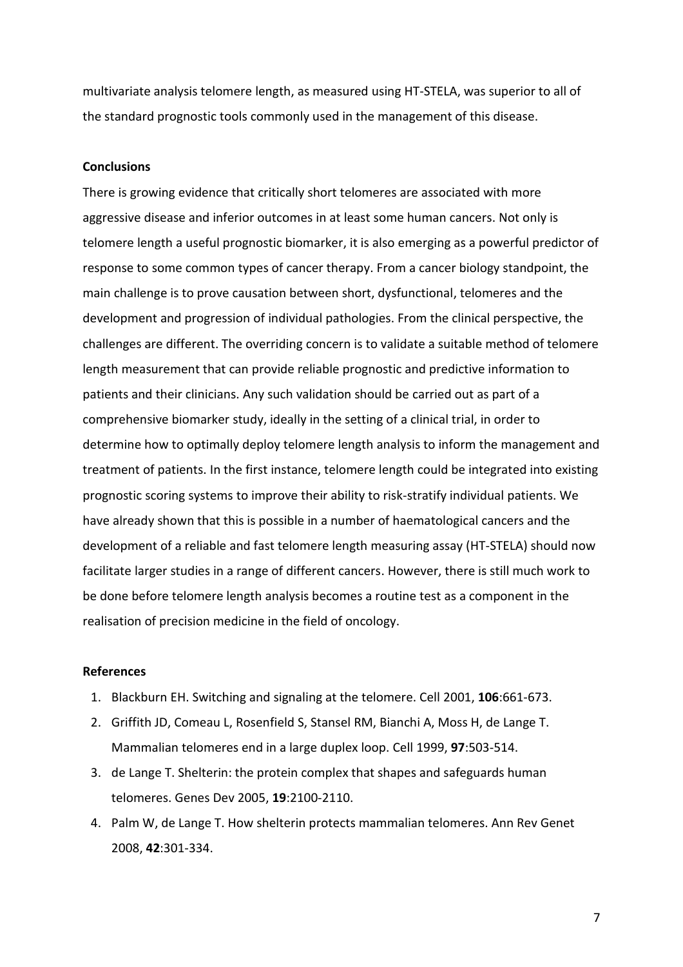multivariate analysis telomere length, as measured using HT-STELA, was superior to all of the standard prognostic tools commonly used in the management of this disease.

#### **Conclusions**

There is growing evidence that critically short telomeres are associated with more aggressive disease and inferior outcomes in at least some human cancers. Not only is telomere length a useful prognostic biomarker, it is also emerging as a powerful predictor of response to some common types of cancer therapy. From a cancer biology standpoint, the main challenge is to prove causation between short, dysfunctional, telomeres and the development and progression of individual pathologies. From the clinical perspective, the challenges are different. The overriding concern is to validate a suitable method of telomere length measurement that can provide reliable prognostic and predictive information to patients and their clinicians. Any such validation should be carried out as part of a comprehensive biomarker study, ideally in the setting of a clinical trial, in order to determine how to optimally deploy telomere length analysis to inform the management and treatment of patients. In the first instance, telomere length could be integrated into existing prognostic scoring systems to improve their ability to risk-stratify individual patients. We have already shown that this is possible in a number of haematological cancers and the development of a reliable and fast telomere length measuring assay (HT-STELA) should now facilitate larger studies in a range of different cancers. However, there is still much work to be done before telomere length analysis becomes a routine test as a component in the realisation of precision medicine in the field of oncology.

# **References**

- 1. Blackburn EH. Switching and signaling at the telomere. Cell 2001, **106**:661-673.
- 2. Griffith JD, Comeau L, Rosenfield S, Stansel RM, Bianchi A, Moss H, de Lange T. Mammalian telomeres end in a large duplex loop. Cell 1999, **97**:503-514.
- 3. de Lange T. Shelterin: the protein complex that shapes and safeguards human telomeres. Genes Dev 2005, **19**:2100-2110.
- 4. Palm W, de Lange T. How shelterin protects mammalian telomeres. Ann Rev Genet 2008, **42**:301-334.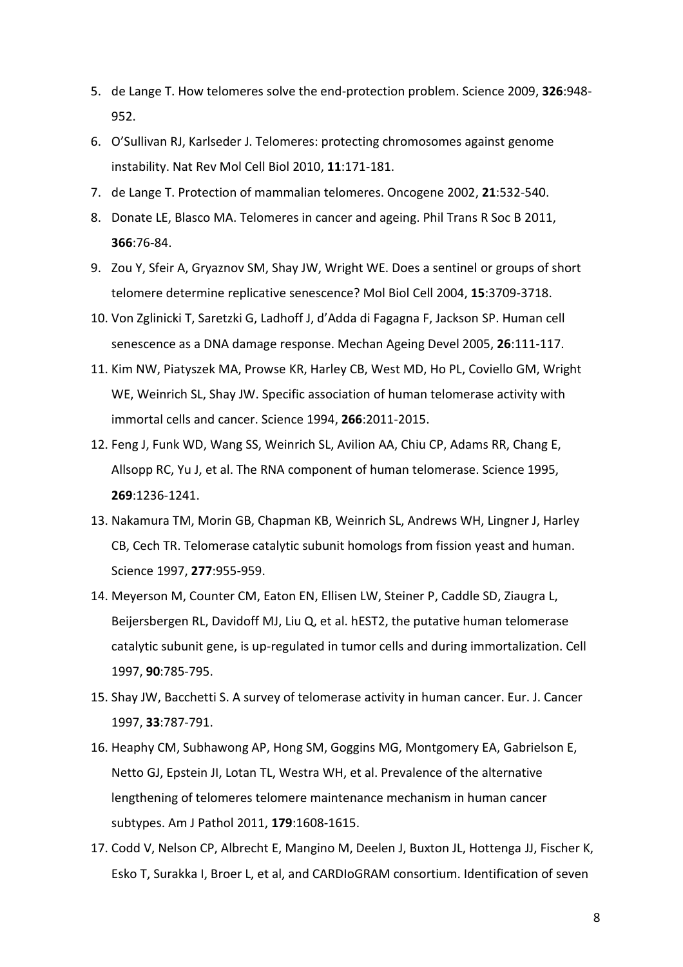- 5. de Lange T. How telomeres solve the end-protection problem. Science 2009, **326**:948- 952.
- 6. O'Sullivan RJ, Karlseder J. Telomeres: protecting chromosomes against genome instability. Nat Rev Mol Cell Biol 2010, **11**:171-181.
- 7. de Lange T. Protection of mammalian telomeres. Oncogene 2002, **21**:532-540.
- 8. Donate LE, Blasco MA. Telomeres in cancer and ageing. Phil Trans R Soc B 2011, **366**:76-84.
- 9. Zou Y, Sfeir A, Gryaznov SM, Shay JW, Wright WE. Does a sentinel or groups of short telomere determine replicative senescence? Mol Biol Cell 2004, **15**:3709-3718.
- 10. Von Zglinicki T, Saretzki G, Ladhoff J, d'Adda di Fagagna F, Jackson SP. Human cell senescence as a DNA damage response. Mechan Ageing Devel 2005, **26**:111-117.
- 11. Kim NW, Piatyszek MA, Prowse KR, Harley CB, West MD, Ho PL, Coviello GM, Wright WE, Weinrich SL, Shay JW. Specific association of human telomerase activity with immortal cells and cancer. Science 1994, **266**:2011-2015.
- 12. Feng J, Funk WD, Wang SS, Weinrich SL, Avilion AA, Chiu CP, Adams RR, Chang E, Allsopp RC, Yu J, et al. The RNA component of human telomerase. Science 1995, **269**:1236-1241.
- 13. Nakamura TM, Morin GB, Chapman KB, Weinrich SL, Andrews WH, Lingner J, Harley CB, Cech TR. Telomerase catalytic subunit homologs from fission yeast and human. Science 1997, **277**:955-959.
- 14. Meyerson M, Counter CM, Eaton EN, Ellisen LW, Steiner P, Caddle SD, Ziaugra L, Beijersbergen RL, Davidoff MJ, Liu Q, et al. hEST2, the putative human telomerase catalytic subunit gene, is up-regulated in tumor cells and during immortalization. Cell 1997, **90**:785-795.
- 15. Shay JW, Bacchetti S. A survey of telomerase activity in human cancer. Eur. J. Cancer 1997, **33**:787-791.
- 16. Heaphy CM, Subhawong AP, Hong SM, Goggins MG, Montgomery EA, Gabrielson E, Netto GJ, Epstein JI, Lotan TL, Westra WH, et al. Prevalence of the alternative lengthening of telomeres telomere maintenance mechanism in human cancer subtypes. Am J Pathol 2011, **179**:1608-1615.
- 17. Codd V, Nelson CP, Albrecht E, Mangino M, Deelen J, Buxton JL, Hottenga JJ, Fischer K, Esko T, Surakka I, Broer L, et al, and CARDIoGRAM consortium. Identification of seven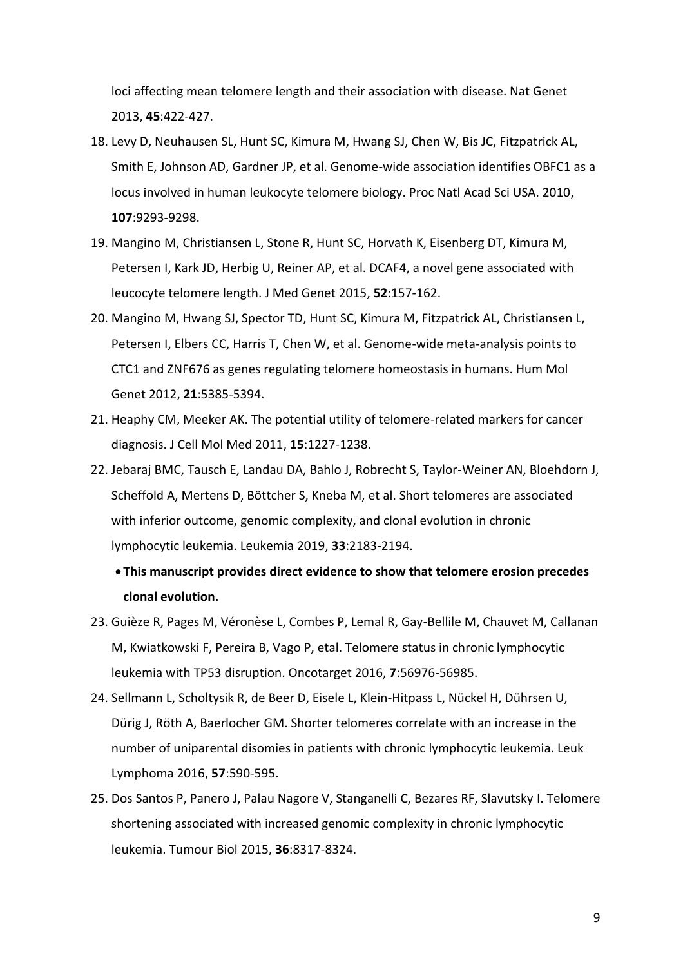loci affecting mean telomere length and their association with disease. Nat Genet 2013, **45**:422-427.

- 18. Levy D, Neuhausen SL, Hunt SC, Kimura M, Hwang SJ, Chen W, Bis JC, Fitzpatrick AL, Smith E, Johnson AD, Gardner JP, et al. Genome-wide association identifies OBFC1 as a locus involved in human leukocyte telomere biology. Proc Natl Acad Sci USA. 2010, **107**:9293-9298.
- 19. Mangino M, Christiansen L, Stone R, Hunt SC, Horvath K, Eisenberg DT, Kimura M, Petersen I, Kark JD, Herbig U, Reiner AP, et al. DCAF4, a novel gene associated with leucocyte telomere length. J Med Genet 2015, **52**:157-162.
- 20. Mangino M, Hwang SJ, Spector TD, Hunt SC, Kimura M, Fitzpatrick AL, Christiansen L, Petersen I, Elbers CC, Harris T, Chen W, et al. Genome-wide meta-analysis points to CTC1 and ZNF676 as genes regulating telomere homeostasis in humans. Hum Mol Genet 2012, **21**:5385-5394.
- 21. Heaphy CM, Meeker AK. The potential utility of telomere-related markers for cancer diagnosis. J Cell Mol Med 2011, **15**:1227-1238.
- 22. Jebaraj BMC, Tausch E, Landau DA, Bahlo J, Robrecht S, Taylor-Weiner AN, Bloehdorn J, Scheffold A, Mertens D, Böttcher S, Kneba M, et al. Short telomeres are associated with inferior outcome, genomic complexity, and clonal evolution in chronic lymphocytic leukemia. Leukemia 2019, **33**:2183-2194.
	- **This manuscript provides direct evidence to show that telomere erosion precedes clonal evolution.**
- 23. Guièze R, Pages M, Véronèse L, Combes P, Lemal R, Gay-Bellile M, Chauvet M, Callanan M, Kwiatkowski F, Pereira B, Vago P, etal. Telomere status in chronic lymphocytic leukemia with TP53 disruption. Oncotarget 2016, **7**:56976-56985.
- 24. Sellmann L, Scholtysik R, de Beer D, Eisele L, Klein-Hitpass L, Nückel H, Dührsen U, Dürig J, Röth A, Baerlocher GM. Shorter telomeres correlate with an increase in the number of uniparental disomies in patients with chronic lymphocytic leukemia. Leuk Lymphoma 2016, **57**:590-595.
- 25. Dos Santos P, Panero J, Palau Nagore V, Stanganelli C, Bezares RF, Slavutsky I. Telomere shortening associated with increased genomic complexity in chronic lymphocytic leukemia. Tumour Biol 2015, **36**:8317-8324.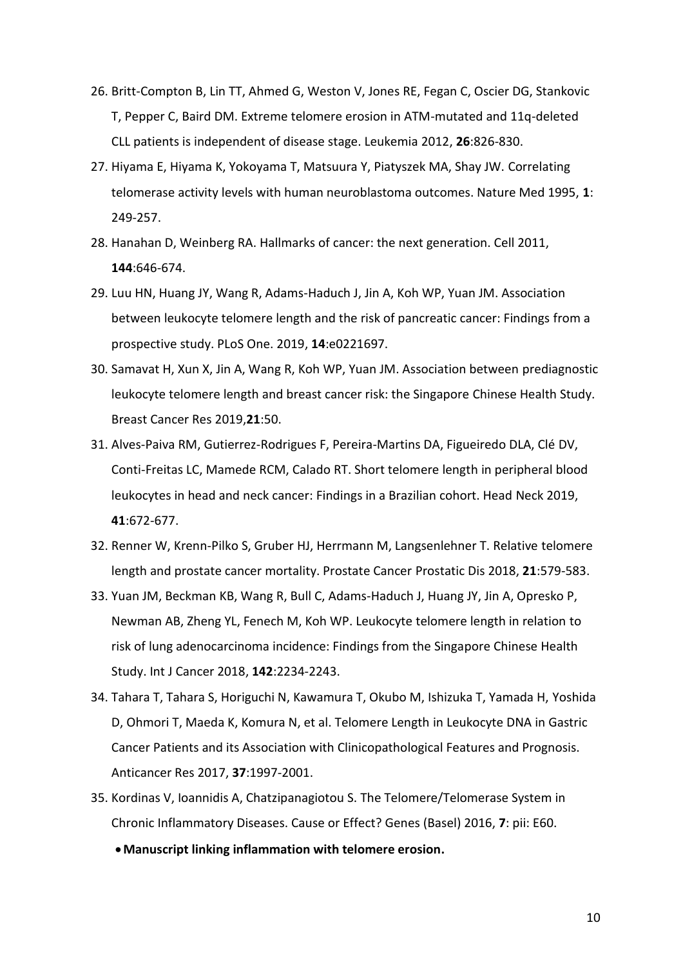- 26. Britt-Compton B, Lin TT, Ahmed G, Weston V, Jones RE, Fegan C, Oscier DG, Stankovic T, Pepper C, Baird DM. Extreme telomere erosion in ATM-mutated and 11q-deleted CLL patients is independent of disease stage. Leukemia 2012, **26**:826-830.
- 27. Hiyama E, Hiyama K, Yokoyama T, Matsuura Y, Piatyszek MA, Shay JW. Correlating telomerase activity levels with human neuroblastoma outcomes. Nature Med 1995, **1**: 249-257.
- 28. Hanahan D, Weinberg RA. Hallmarks of cancer: the next generation. Cell 2011, **144**:646-674.
- 29. Luu HN, Huang JY, Wang R, Adams-Haduch J, Jin A, Koh WP, Yuan JM. Association between leukocyte telomere length and the risk of pancreatic cancer: Findings from a prospective study. PLoS One. 2019, **14**:e0221697.
- 30. Samavat H, Xun X, Jin A, Wang R, Koh WP, Yuan JM. Association between prediagnostic leukocyte telomere length and breast cancer risk: the Singapore Chinese Health Study. Breast Cancer Res 2019,**21**:50.
- 31. Alves-Paiva RM, Gutierrez-Rodrigues F, Pereira-Martins DA, Figueiredo DLA, Clé DV, Conti-Freitas LC, Mamede RCM, Calado RT. Short telomere length in peripheral blood leukocytes in head and neck cancer: Findings in a Brazilian cohort. Head Neck 2019, **41**:672-677.
- 32. Renner W, Krenn-Pilko S, Gruber HJ, Herrmann M, Langsenlehner T. Relative telomere length and prostate cancer mortality. Prostate Cancer Prostatic Dis 2018, **21**:579-583.
- 33. Yuan JM, Beckman KB, Wang R, Bull C, Adams-Haduch J, Huang JY, Jin A, Opresko P, Newman AB, Zheng YL, Fenech M, Koh WP. Leukocyte telomere length in relation to risk of lung adenocarcinoma incidence: Findings from the Singapore Chinese Health Study. Int J Cancer 2018, **142**:2234-2243.
- 34. Tahara T, Tahara S, Horiguchi N, Kawamura T, Okubo M, Ishizuka T, Yamada H, Yoshida D, Ohmori T, Maeda K, Komura N, et al. Telomere Length in Leukocyte DNA in Gastric Cancer Patients and its Association with Clinicopathological Features and Prognosis. Anticancer Res 2017, **37**:1997-2001.
- 35. Kordinas V, Ioannidis A, Chatzipanagiotou S. The Telomere/Telomerase System in Chronic Inflammatory Diseases. Cause or Effect? Genes (Basel) 2016, **7**: pii: E60.
	- •**Manuscript linking inflammation with telomere erosion.**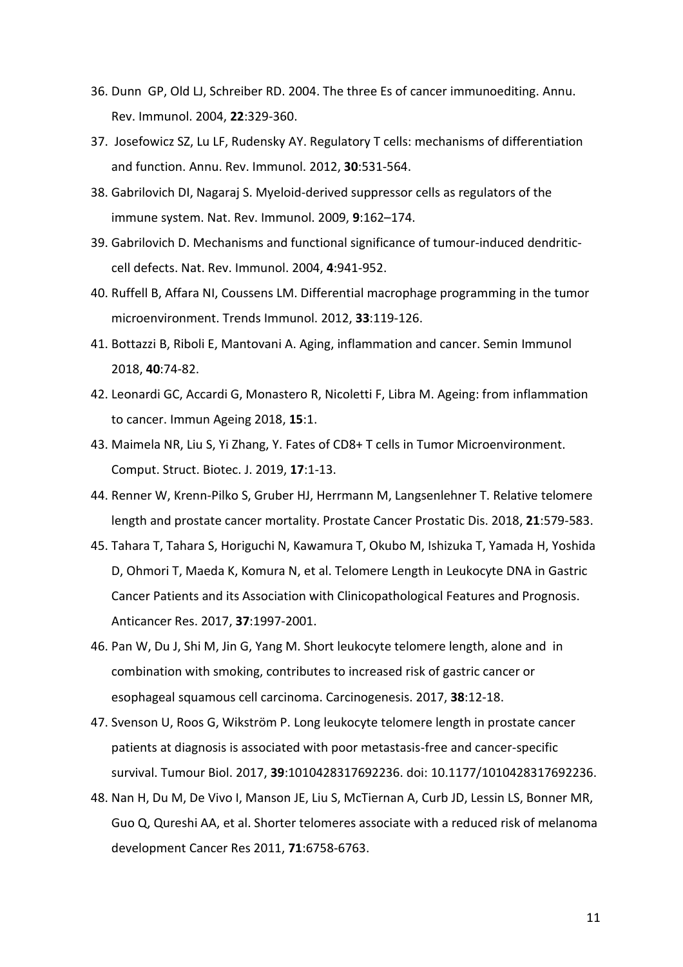- 36. Dunn GP, Old LJ, Schreiber RD. 2004. The three Es of cancer immunoediting. Annu. Rev. Immunol. 2004, **22**:329-360.
- 37. Josefowicz SZ, Lu LF, Rudensky AY. Regulatory T cells: mechanisms of differentiation and function. Annu. Rev. Immunol. 2012, **30**:531-564.
- 38. Gabrilovich DI, Nagaraj S. Myeloid‐derived suppressor cells as regulators of the immune system. Nat. Rev. Immunol. 2009, **9**:162–174.
- 39. Gabrilovich D. Mechanisms and functional significance of tumour‐induced dendritic‐ cell defects. Nat. Rev. Immunol. 2004, **4**:941-952.
- 40. Ruffell B, Affara NI, Coussens LM. Differential macrophage programming in the tumor microenvironment. Trends Immunol. 2012, **33**:119-126.
- 41. Bottazzi B, Riboli E, Mantovani A. Aging, inflammation and cancer. Semin Immunol 2018, **40**:74-82.
- 42. Leonardi GC, Accardi G, Monastero R, Nicoletti F, Libra M. Ageing: from inflammation to cancer. Immun Ageing 2018, **15**:1.
- 43. Maimela NR, Liu S, Yi Zhang, Y. Fates of CD8+ T cells in Tumor Microenvironment. Comput. Struct. Biotec. J. 2019, **17**:1-13.
- 44. Renner W, Krenn-Pilko S, Gruber HJ, Herrmann M, Langsenlehner T. Relative telomere length and prostate cancer mortality. Prostate Cancer Prostatic Dis. 2018, **21**:579-583.
- 45. Tahara T, Tahara S, Horiguchi N, Kawamura T, Okubo M, Ishizuka T, Yamada H, Yoshida D, Ohmori T, Maeda K, Komura N, et al. Telomere Length in Leukocyte DNA in Gastric Cancer Patients and its Association with Clinicopathological Features and Prognosis. Anticancer Res. 2017, **37**:1997-2001.
- 46. Pan W, Du J, Shi M, Jin G, Yang M. Short leukocyte telomere length, alone and in combination with smoking, contributes to increased risk of gastric cancer or esophageal squamous cell carcinoma. Carcinogenesis. 2017, **38**:12-18.
- 47. Svenson U, Roos G, Wikström P. Long leukocyte telomere length in prostate cancer patients at diagnosis is associated with poor metastasis-free and cancer-specific survival. Tumour Biol. 2017, **39**:1010428317692236. doi: 10.1177/1010428317692236.
- 48. Nan H, Du M, De Vivo I, Manson JE, Liu S, McTiernan A, Curb JD, Lessin LS, Bonner MR, Guo Q, Qureshi AA, et al. Shorter telomeres associate with a reduced risk of melanoma development Cancer Res 2011, **71**:6758-6763.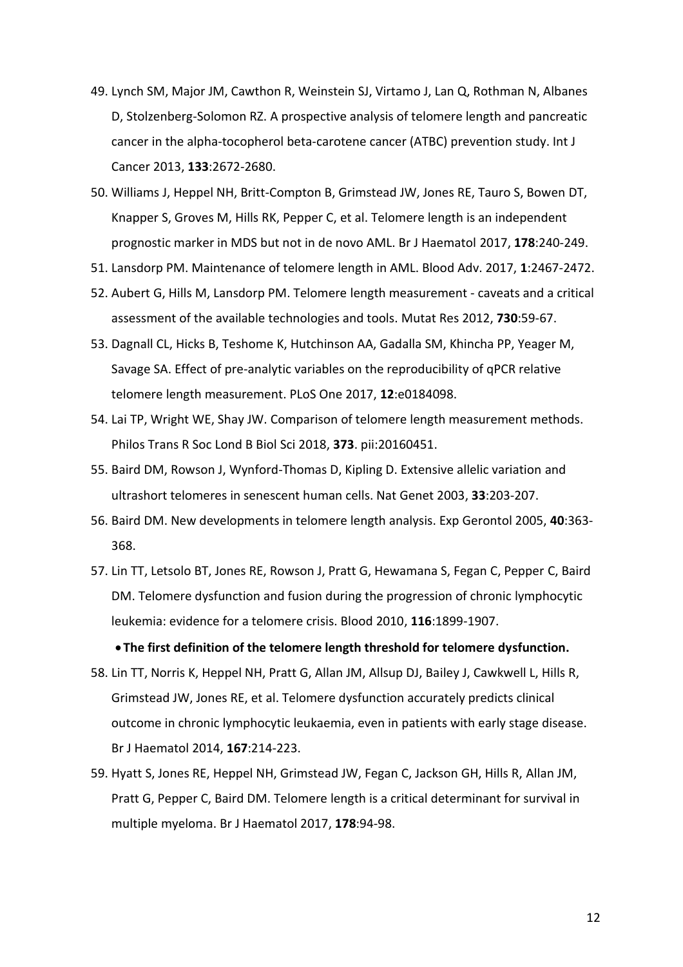- 49. Lynch SM, Major JM, Cawthon R, Weinstein SJ, Virtamo J, Lan Q, Rothman N, Albanes D, Stolzenberg-Solomon RZ. A prospective analysis of telomere length and pancreatic cancer in the alpha-tocopherol beta-carotene cancer (ATBC) prevention study. Int J Cancer 2013, **133**:2672-2680.
- 50. Williams J, Heppel NH, Britt-Compton B, Grimstead JW, Jones RE, Tauro S, Bowen DT, Knapper S, Groves M, Hills RK, Pepper C, et al. Telomere length is an independent prognostic marker in MDS but not in de novo AML. Br J Haematol 2017, **178**:240-249.
- 51. Lansdorp PM. Maintenance of telomere length in AML. Blood Adv. 2017, **1**:2467-2472.
- 52. Aubert G, Hills M, Lansdorp PM. Telomere length measurement caveats and a critical assessment of the available technologies and tools. Mutat Res 2012, **730**:59-67.
- 53. Dagnall CL, Hicks B, Teshome K, Hutchinson AA, Gadalla SM, Khincha PP, Yeager M, Savage SA. Effect of pre-analytic variables on the reproducibility of qPCR relative telomere length measurement. PLoS One 2017, **12**:e0184098.
- 54. Lai TP, Wright WE, Shay JW. Comparison of telomere length measurement methods. Philos Trans R Soc Lond B Biol Sci 2018, **373**. pii:20160451.
- 55. Baird DM, Rowson J, Wynford-Thomas D, Kipling D. Extensive allelic variation and ultrashort telomeres in senescent human cells. Nat Genet 2003, **33**:203-207.
- 56. Baird DM. New developments in telomere length analysis. Exp Gerontol 2005, **40**:363- 368.
- 57. Lin TT, Letsolo BT, Jones RE, Rowson J, Pratt G, Hewamana S, Fegan C, Pepper C, Baird DM. Telomere dysfunction and fusion during the progression of chronic lymphocytic leukemia: evidence for a telomere crisis. Blood 2010, **116**:1899-1907.

### • **The first definition of the telomere length threshold for telomere dysfunction.**

- 58. Lin TT, Norris K, Heppel NH, Pratt G, Allan JM, Allsup DJ, Bailey J, Cawkwell L, Hills R, Grimstead JW, Jones RE, et al. Telomere dysfunction accurately predicts clinical outcome in chronic lymphocytic leukaemia, even in patients with early stage disease. Br J Haematol 2014, **167**:214-223.
- 59. Hyatt S, Jones RE, Heppel NH, Grimstead JW, Fegan C, Jackson GH, Hills R, Allan JM, Pratt G, Pepper C, Baird DM. Telomere length is a critical determinant for survival in multiple myeloma. Br J Haematol 2017, **178**:94-98.